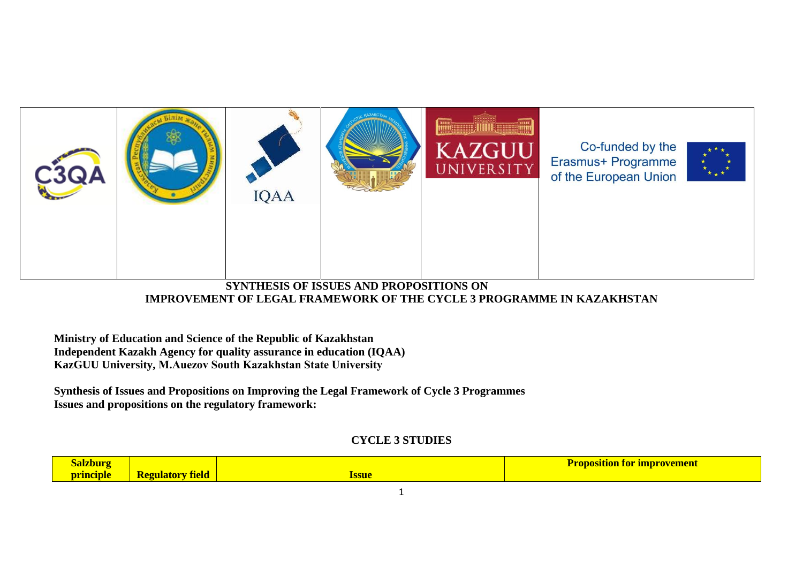

**SYNTHESIS OF ISSUES AND PROPOSITIONS ON IMPROVEMENT OF LEGAL FRAMEWORK OF THE CYCLE 3 PROGRAMME IN KAZAKHSTAN**

**Ministry of Education and Science of the Republic of Kazakhstan Independent Kazakh Agency for quality assurance in education (IQAA) KazGUU University, М.Auezov South Kazakhstan State University**

**Synthesis of Issues and Propositions on Improving the Legal Framework of Cycle 3 Programmes Issues and propositions on the regulatory framework:**

## **CYCLE 3 STUDIES**

| Ш<br>. . |                   |      | - -<br><b>TODOSILION</b><br>TOr<br>imbrov<br>900900 |
|----------|-------------------|------|-----------------------------------------------------|
| neinie   | <b>Tield</b><br>ш | ssue |                                                     |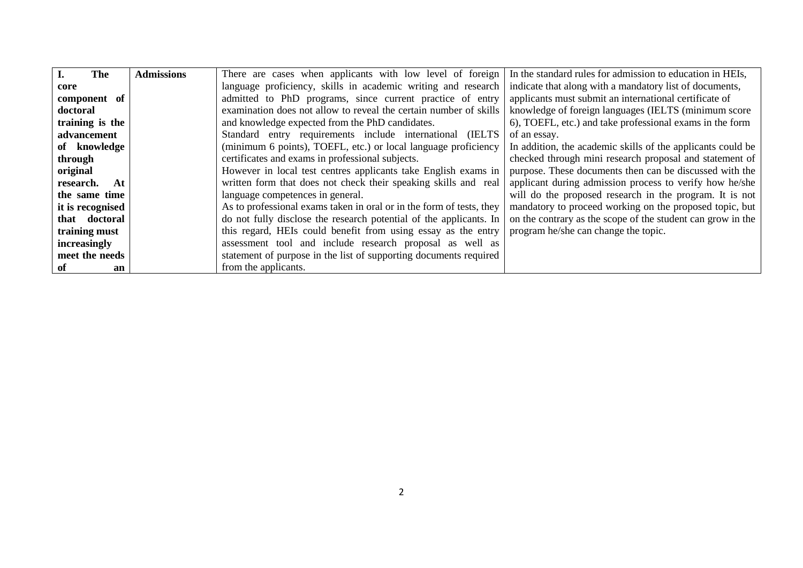| I.<br>The         | <b>Admissions</b> | There are cases when applicants with low level of foreign            | In the standard rules for admission to education in HEIs,   |
|-------------------|-------------------|----------------------------------------------------------------------|-------------------------------------------------------------|
| core              |                   | language proficiency, skills in academic writing and research        | indicate that along with a mandatory list of documents,     |
| component of      |                   | admitted to PhD programs, since current practice of entry            | applicants must submit an international certificate of      |
| doctoral          |                   | examination does not allow to reveal the certain number of skills    | knowledge of foreign languages (IELTS (minimum score)       |
| training is the   |                   | and knowledge expected from the PhD candidates.                      | 6), TOEFL, etc.) and take professional exams in the form    |
| advancement       |                   | Standard entry requirements include international<br>(IELTS          | of an essay.                                                |
| of knowledge      |                   | (minimum 6 points), TOEFL, etc.) or local language proficiency       | In addition, the academic skills of the applicants could be |
| through           |                   | certificates and exams in professional subjects.                     | checked through mini research proposal and statement of     |
| original          |                   | However in local test centres applicants take English exams in       | purpose. These documents then can be discussed with the     |
| research.<br>- At |                   | written form that does not check their speaking skills and real      | applicant during admission process to verify how he/she     |
| the same time     |                   | language competences in general.                                     | will do the proposed research in the program. It is not     |
| it is recognised  |                   | As to professional exams taken in oral or in the form of tests, they | mandatory to proceed working on the proposed topic, but     |
| that doctoral     |                   | do not fully disclose the research potential of the applicants. In   | on the contrary as the scope of the student can grow in the |
| training must     |                   | this regard, HEIs could benefit from using essay as the entry        | program he/she can change the topic.                        |
| increasingly      |                   | assessment tool and include research proposal as well as             |                                                             |
| meet the needs    |                   | statement of purpose in the list of supporting documents required    |                                                             |
| of<br>an          |                   | from the applicants.                                                 |                                                             |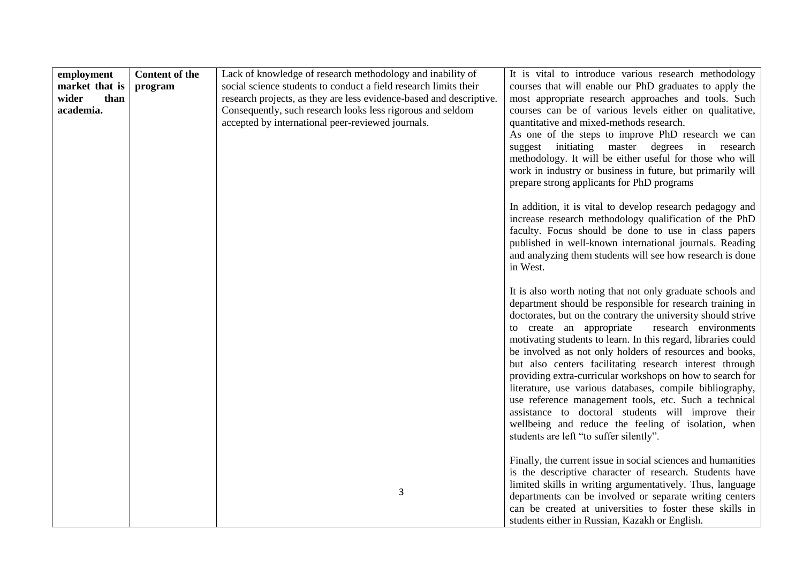| employment<br>market that is<br>wider<br>than<br>academia. | <b>Content of the</b><br>program | Lack of knowledge of research methodology and inability of<br>social science students to conduct a field research limits their<br>research projects, as they are less evidence-based and descriptive.<br>Consequently, such research looks less rigorous and seldom<br>accepted by international peer-reviewed journals. | It is vital to introduce various research methodology<br>courses that will enable our PhD graduates to apply the<br>most appropriate research approaches and tools. Such<br>courses can be of various levels either on qualitative,<br>quantitative and mixed-methods research.<br>As one of the steps to improve PhD research we can<br>suggest initiating master degrees in research<br>methodology. It will be either useful for those who will<br>work in industry or business in future, but primarily will<br>prepare strong applicants for PhD programs                                                                                                                                                                                                                |
|------------------------------------------------------------|----------------------------------|--------------------------------------------------------------------------------------------------------------------------------------------------------------------------------------------------------------------------------------------------------------------------------------------------------------------------|-------------------------------------------------------------------------------------------------------------------------------------------------------------------------------------------------------------------------------------------------------------------------------------------------------------------------------------------------------------------------------------------------------------------------------------------------------------------------------------------------------------------------------------------------------------------------------------------------------------------------------------------------------------------------------------------------------------------------------------------------------------------------------|
|                                                            |                                  |                                                                                                                                                                                                                                                                                                                          | In addition, it is vital to develop research pedagogy and<br>increase research methodology qualification of the PhD<br>faculty. Focus should be done to use in class papers<br>published in well-known international journals. Reading<br>and analyzing them students will see how research is done<br>in West.                                                                                                                                                                                                                                                                                                                                                                                                                                                               |
|                                                            |                                  |                                                                                                                                                                                                                                                                                                                          | It is also worth noting that not only graduate schools and<br>department should be responsible for research training in<br>doctorates, but on the contrary the university should strive<br>to create an appropriate<br>research environments<br>motivating students to learn. In this regard, libraries could<br>be involved as not only holders of resources and books,<br>but also centers facilitating research interest through<br>providing extra-curricular workshops on how to search for<br>literature, use various databases, compile bibliography,<br>use reference management tools, etc. Such a technical<br>assistance to doctoral students will improve their<br>wellbeing and reduce the feeling of isolation, when<br>students are left "to suffer silently". |
|                                                            |                                  | 3                                                                                                                                                                                                                                                                                                                        | Finally, the current issue in social sciences and humanities<br>is the descriptive character of research. Students have<br>limited skills in writing argumentatively. Thus, language<br>departments can be involved or separate writing centers<br>can be created at universities to foster these skills in<br>students either in Russian, Kazakh or English.                                                                                                                                                                                                                                                                                                                                                                                                                 |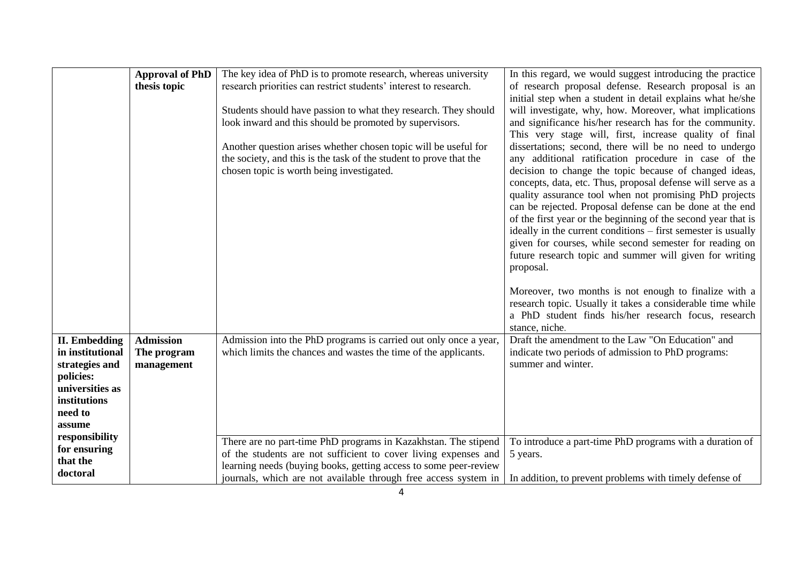|                                          | <b>Approval of PhD</b>          | The key idea of PhD is to promote research, whereas university                                                                      | In this regard, we would suggest introducing the practice                                                                      |
|------------------------------------------|---------------------------------|-------------------------------------------------------------------------------------------------------------------------------------|--------------------------------------------------------------------------------------------------------------------------------|
|                                          | thesis topic                    | research priorities can restrict students' interest to research.                                                                    | of research proposal defense. Research proposal is an<br>initial step when a student in detail explains what he/she            |
|                                          |                                 | Students should have passion to what they research. They should                                                                     | will investigate, why, how. Moreover, what implications                                                                        |
|                                          |                                 | look inward and this should be promoted by supervisors.                                                                             | and significance his/her research has for the community.                                                                       |
|                                          |                                 |                                                                                                                                     | This very stage will, first, increase quality of final                                                                         |
|                                          |                                 | Another question arises whether chosen topic will be useful for                                                                     | dissertations; second, there will be no need to undergo                                                                        |
|                                          |                                 | the society, and this is the task of the student to prove that the<br>chosen topic is worth being investigated.                     | any additional ratification procedure in case of the<br>decision to change the topic because of changed ideas,                 |
|                                          |                                 |                                                                                                                                     | concepts, data, etc. Thus, proposal defense will serve as a                                                                    |
|                                          |                                 |                                                                                                                                     | quality assurance tool when not promising PhD projects                                                                         |
|                                          |                                 |                                                                                                                                     | can be rejected. Proposal defense can be done at the end                                                                       |
|                                          |                                 |                                                                                                                                     | of the first year or the beginning of the second year that is<br>ideally in the current conditions – first semester is usually |
|                                          |                                 |                                                                                                                                     | given for courses, while second semester for reading on                                                                        |
|                                          |                                 |                                                                                                                                     | future research topic and summer will given for writing                                                                        |
|                                          |                                 |                                                                                                                                     | proposal.                                                                                                                      |
|                                          |                                 |                                                                                                                                     | Moreover, two months is not enough to finalize with a                                                                          |
|                                          |                                 |                                                                                                                                     | research topic. Usually it takes a considerable time while                                                                     |
|                                          |                                 |                                                                                                                                     | a PhD student finds his/her research focus, research                                                                           |
|                                          |                                 |                                                                                                                                     | stance, niche.                                                                                                                 |
| <b>II.</b> Embedding<br>in institutional | <b>Admission</b><br>The program | Admission into the PhD programs is carried out only once a year,<br>which limits the chances and wastes the time of the applicants. | Draft the amendment to the Law "On Education" and<br>indicate two periods of admission to PhD programs:                        |
| strategies and                           | management                      |                                                                                                                                     | summer and winter.                                                                                                             |
| policies:                                |                                 |                                                                                                                                     |                                                                                                                                |
| universities as                          |                                 |                                                                                                                                     |                                                                                                                                |
| institutions<br>need to                  |                                 |                                                                                                                                     |                                                                                                                                |
| assume                                   |                                 |                                                                                                                                     |                                                                                                                                |
| responsibility                           |                                 | There are no part-time PhD programs in Kazakhstan. The stipend                                                                      | To introduce a part-time PhD programs with a duration of                                                                       |
| for ensuring                             |                                 | of the students are not sufficient to cover living expenses and                                                                     | 5 years.                                                                                                                       |
| that the                                 |                                 | learning needs (buying books, getting access to some peer-review                                                                    |                                                                                                                                |
| doctoral                                 |                                 | journals, which are not available through free access system in                                                                     | In addition, to prevent problems with timely defense of                                                                        |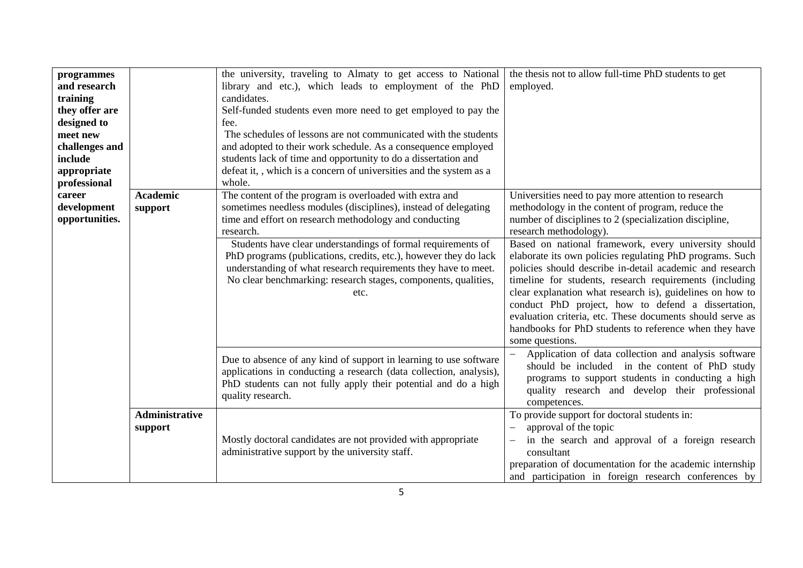| programmes<br>and research<br>training<br>they offer are<br>designed to<br>meet new<br>challenges and<br>include<br>appropriate<br>professional |                                  | the university, traveling to Almaty to get access to National<br>library and etc.), which leads to employment of the PhD<br>candidates.<br>Self-funded students even more need to get employed to pay the<br>fee.<br>The schedules of lessons are not communicated with the students<br>and adopted to their work schedule. As a consequence employed<br>students lack of time and opportunity to do a dissertation and<br>defeat it, , which is a concern of universities and the system as a<br>whole. | the thesis not to allow full-time PhD students to get<br>employed.                                                                                                                                                                                                                                                                                                                                                                                                                                   |
|-------------------------------------------------------------------------------------------------------------------------------------------------|----------------------------------|----------------------------------------------------------------------------------------------------------------------------------------------------------------------------------------------------------------------------------------------------------------------------------------------------------------------------------------------------------------------------------------------------------------------------------------------------------------------------------------------------------|------------------------------------------------------------------------------------------------------------------------------------------------------------------------------------------------------------------------------------------------------------------------------------------------------------------------------------------------------------------------------------------------------------------------------------------------------------------------------------------------------|
| career<br>development<br>opportunities.                                                                                                         | <b>Academic</b><br>support       | The content of the program is overloaded with extra and<br>sometimes needless modules (disciplines), instead of delegating<br>time and effort on research methodology and conducting<br>research.                                                                                                                                                                                                                                                                                                        | Universities need to pay more attention to research<br>methodology in the content of program, reduce the<br>number of disciplines to 2 (specialization discipline,<br>research methodology).                                                                                                                                                                                                                                                                                                         |
|                                                                                                                                                 |                                  | Students have clear understandings of formal requirements of<br>PhD programs (publications, credits, etc.), however they do lack<br>understanding of what research requirements they have to meet.<br>No clear benchmarking: research stages, components, qualities,<br>etc.                                                                                                                                                                                                                             | Based on national framework, every university should<br>elaborate its own policies regulating PhD programs. Such<br>policies should describe in-detail academic and research<br>timeline for students, research requirements (including<br>clear explanation what research is), guidelines on how to<br>conduct PhD project, how to defend a dissertation,<br>evaluation criteria, etc. These documents should serve as<br>handbooks for PhD students to reference when they have<br>some questions. |
|                                                                                                                                                 |                                  | Due to absence of any kind of support in learning to use software<br>applications in conducting a research (data collection, analysis),<br>PhD students can not fully apply their potential and do a high<br>quality research.                                                                                                                                                                                                                                                                           | Application of data collection and analysis software<br>should be included in the content of PhD study<br>programs to support students in conducting a high<br>quality research and develop their professional<br>competences.                                                                                                                                                                                                                                                                       |
|                                                                                                                                                 | <b>Administrative</b><br>support | Mostly doctoral candidates are not provided with appropriate<br>administrative support by the university staff.                                                                                                                                                                                                                                                                                                                                                                                          | To provide support for doctoral students in:<br>approval of the topic<br>in the search and approval of a foreign research<br>$\overline{\phantom{0}}$<br>consultant<br>preparation of documentation for the academic internship<br>and participation in foreign research conferences by                                                                                                                                                                                                              |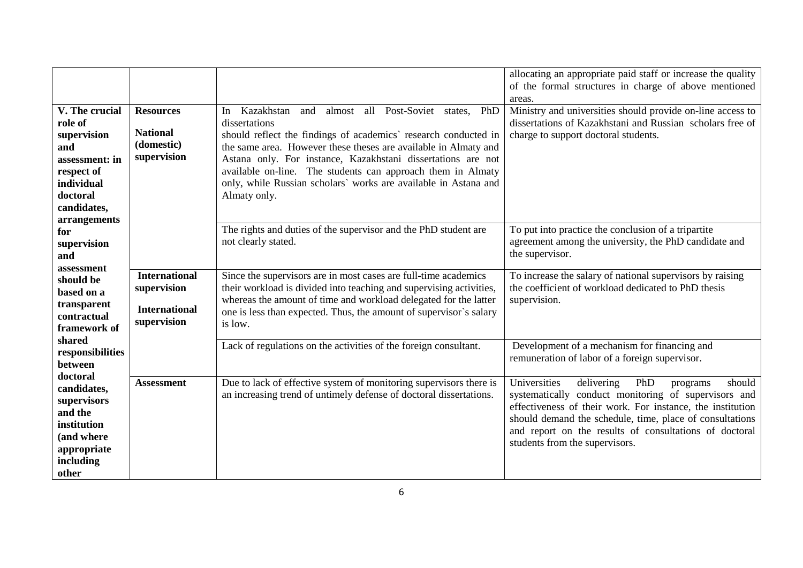| V. The crucial<br>role of<br>supervision<br>and<br>assessment: in<br>respect of<br>individual<br>doctoral<br>candidates,<br>arrangements | <b>Resources</b><br><b>National</b><br>(domestic)<br>supervision           | Kazakhstan and<br>almost all Post-Soviet states,<br>PhD<br>In<br>dissertations<br>should reflect the findings of academics' research conducted in<br>the same area. However these theses are available in Almaty and<br>Astana only. For instance, Kazakhstani dissertations are not<br>available on-line. The students can approach them in Almaty<br>only, while Russian scholars` works are available in Astana and<br>Almaty only. | allocating an appropriate paid staff or increase the quality<br>of the formal structures in charge of above mentioned<br>areas.<br>Ministry and universities should provide on-line access to<br>dissertations of Kazakhstani and Russian scholars free of<br>charge to support doctoral students.                                    |
|------------------------------------------------------------------------------------------------------------------------------------------|----------------------------------------------------------------------------|----------------------------------------------------------------------------------------------------------------------------------------------------------------------------------------------------------------------------------------------------------------------------------------------------------------------------------------------------------------------------------------------------------------------------------------|---------------------------------------------------------------------------------------------------------------------------------------------------------------------------------------------------------------------------------------------------------------------------------------------------------------------------------------|
| for<br>supervision<br>and                                                                                                                |                                                                            | The rights and duties of the supervisor and the PhD student are<br>not clearly stated.                                                                                                                                                                                                                                                                                                                                                 | To put into practice the conclusion of a tripartite<br>agreement among the university, the PhD candidate and<br>the supervisor.                                                                                                                                                                                                       |
| assessment<br>should be<br>based on a<br>transparent<br>contractual<br>framework of                                                      | <b>International</b><br>supervision<br><b>International</b><br>supervision | Since the supervisors are in most cases are full-time academics<br>their workload is divided into teaching and supervising activities,<br>whereas the amount of time and workload delegated for the latter<br>one is less than expected. Thus, the amount of supervisor's salary<br>is low.                                                                                                                                            | To increase the salary of national supervisors by raising<br>the coefficient of workload dedicated to PhD thesis<br>supervision.                                                                                                                                                                                                      |
| shared<br>responsibilities<br>between<br>doctoral                                                                                        |                                                                            | Lack of regulations on the activities of the foreign consultant.                                                                                                                                                                                                                                                                                                                                                                       | Development of a mechanism for financing and<br>remuneration of labor of a foreign supervisor.                                                                                                                                                                                                                                        |
| candidates,<br>supervisors<br>and the<br>institution<br>(and where<br>appropriate<br>including<br>other                                  | <b>Assessment</b>                                                          | Due to lack of effective system of monitoring supervisors there is<br>an increasing trend of untimely defense of doctoral dissertations.                                                                                                                                                                                                                                                                                               | Universities<br>delivering<br>PhD<br>should<br>programs<br>systematically conduct monitoring of supervisors and<br>effectiveness of their work. For instance, the institution<br>should demand the schedule, time, place of consultations<br>and report on the results of consultations of doctoral<br>students from the supervisors. |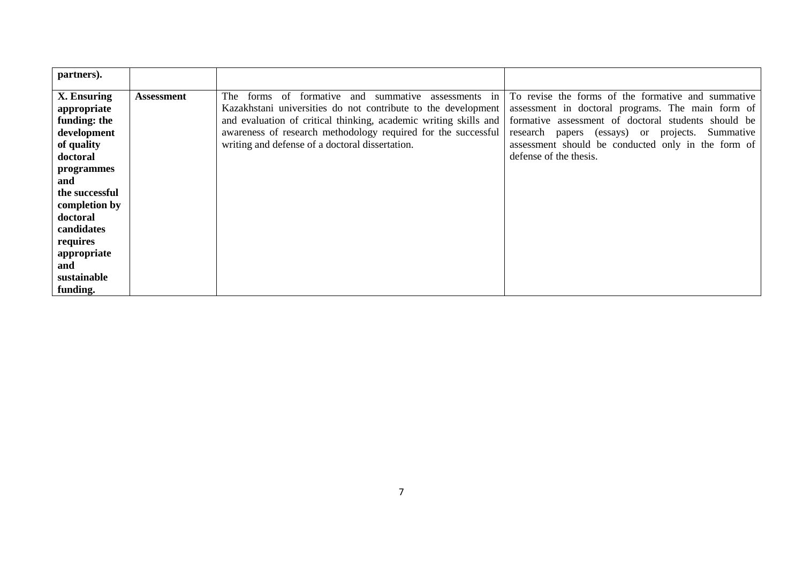| partners).     |                   |                                                                  |                                                     |
|----------------|-------------------|------------------------------------------------------------------|-----------------------------------------------------|
| X. Ensuring    | <b>Assessment</b> | formative and summative<br>The -<br>forms of<br>assessments in   | To revise the forms of the formative and summative  |
| appropriate    |                   | Kazakhstani universities do not contribute to the development    | assessment in doctoral programs. The main form of   |
| funding: the   |                   | and evaluation of critical thinking, academic writing skills and | formative assessment of doctoral students should be |
| development    |                   | awareness of research methodology required for the successful    | research papers (essays) or projects.<br>Summative  |
| of quality     |                   | writing and defense of a doctoral dissertation.                  | assessment should be conducted only in the form of  |
| doctoral       |                   |                                                                  | defense of the thesis.                              |
| programmes     |                   |                                                                  |                                                     |
| and            |                   |                                                                  |                                                     |
| the successful |                   |                                                                  |                                                     |
| completion by  |                   |                                                                  |                                                     |
| doctoral       |                   |                                                                  |                                                     |
| candidates     |                   |                                                                  |                                                     |
| requires       |                   |                                                                  |                                                     |
| appropriate    |                   |                                                                  |                                                     |
| and            |                   |                                                                  |                                                     |
| sustainable    |                   |                                                                  |                                                     |
| funding.       |                   |                                                                  |                                                     |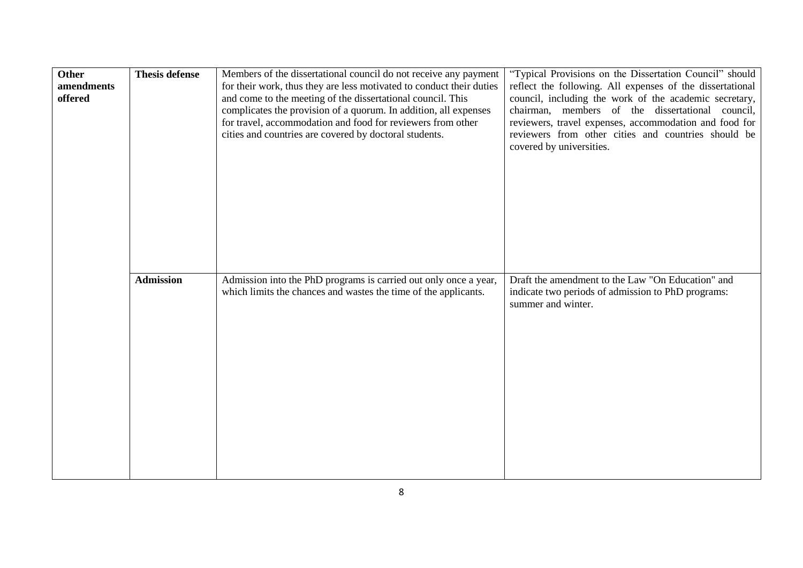| <b>Other</b><br>amendments<br>offered | <b>Thesis defense</b> | Members of the dissertational council do not receive any payment<br>for their work, thus they are less motivated to conduct their duties<br>and come to the meeting of the dissertational council. This<br>complicates the provision of a quorum. In addition, all expenses<br>for travel, accommodation and food for reviewers from other<br>cities and countries are covered by doctoral students. | "Typical Provisions on the Dissertation Council" should<br>reflect the following. All expenses of the dissertational<br>council, including the work of the academic secretary,<br>chairman, members of the dissertational<br>council,<br>reviewers, travel expenses, accommodation and food for<br>reviewers from other cities and countries should be<br>covered by universities. |
|---------------------------------------|-----------------------|------------------------------------------------------------------------------------------------------------------------------------------------------------------------------------------------------------------------------------------------------------------------------------------------------------------------------------------------------------------------------------------------------|------------------------------------------------------------------------------------------------------------------------------------------------------------------------------------------------------------------------------------------------------------------------------------------------------------------------------------------------------------------------------------|
|                                       | <b>Admission</b>      | Admission into the PhD programs is carried out only once a year,<br>which limits the chances and wastes the time of the applicants.                                                                                                                                                                                                                                                                  | Draft the amendment to the Law "On Education" and<br>indicate two periods of admission to PhD programs:<br>summer and winter.                                                                                                                                                                                                                                                      |